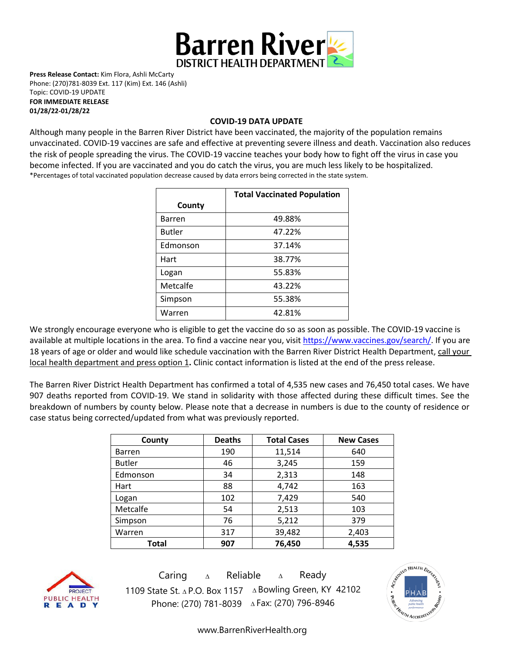

**Press Release Contact:** Kim Flora, Ashli McCarty Phone: (270)781-8039 Ext. 117 (Kim) Ext. 146 (Ashli) Topic: COVID-19 UPDATE **FOR IMMEDIATE RELEASE** 

**01/28/22-01/28/22**

## **COVID-19 DATA UPDATE**

Although many people in the Barren River District have been vaccinated, the majority of the population remains unvaccinated. COVID-19 vaccines are [safe and effective](https://www.cdc.gov/coronavirus/2019-ncov/vaccines/effectiveness.html) at preventing severe illness and death. Vaccination also reduces the risk of people spreading the virus. The COVID-19 vaccine teaches your body how to fight off the virus in case you become infected. If you are vaccinated and you do catch the virus, you are much less likely to be hospitalized. \*Percentages of total vaccinated population decrease caused by data errors being corrected in the state system.

|               | <b>Total Vaccinated Population</b> |  |
|---------------|------------------------------------|--|
| County        |                                    |  |
| <b>Barren</b> | 49.88%                             |  |
| <b>Butler</b> | 47.22%                             |  |
| Edmonson      | 37.14%                             |  |
| Hart          | 38.77%                             |  |
| Logan         | 55.83%                             |  |
| Metcalfe      | 43.22%                             |  |
| Simpson       | 55.38%                             |  |
| Warren        | 42.81%                             |  |

We strongly encourage everyone who is eligible to get the vaccine do so as soon as possible. The COVID-19 vaccine is available at multiple locations in the area. To find a vaccine near you, visi[t https://www.vaccines.gov/search/.](https://www.vaccines.gov/search/) If you are 18 years of age or older and would like schedule vaccination with the Barren River District Health Department, call your local health department and press option 1**.** Clinic contact information is listed at the end of the press release.

The Barren River District Health Department has confirmed a total of 4,535 new cases and 76,450 total cases. We have 907 deaths reported from COVID-19. We stand in solidarity with those affected during these difficult times. See the breakdown of numbers by county below. Please note that a decrease in numbers is due to the county of residence or case status being corrected/updated from what was previously reported.

| County        | <b>Deaths</b> | <b>Total Cases</b> | <b>New Cases</b> |
|---------------|---------------|--------------------|------------------|
| <b>Barren</b> | 190           | 11,514             | 640              |
| <b>Butler</b> | 46            | 3,245              | 159              |
| Edmonson      | 34            | 2,313              | 148              |
| Hart          | 88            | 4,742              | 163              |
| Logan         | 102           | 7,429              | 540              |
| Metcalfe      | 54            | 2,513              | 103              |
| Simpson       | 76            | 5,212              | 379              |
| Warren        | 317           | 39,482             | 2,403            |
| Total         | 907           | 76,450             | 4,535            |



Caring <sup>∆</sup> Reliable <sup>∆</sup> Ready 1109 State St. ∆ P.O. Box 1157 ∆ Bowling Green, KY 42102 Phone: (270) 781-8039 ∆Fax: (270) 796-8946



[www.BarrenRiverHealth.org](http://www.barrenriverhealth.org/)